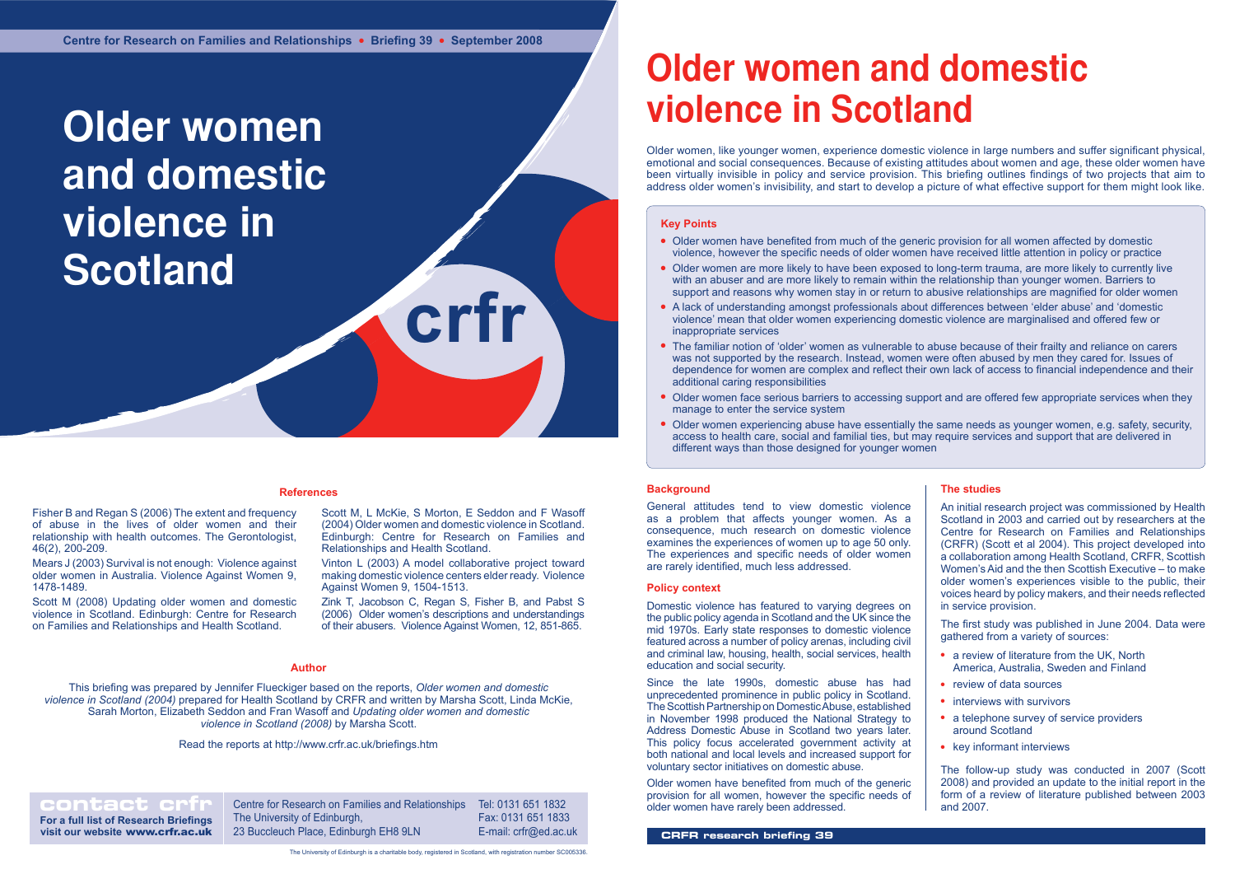#### **References**

Older women face serious barriers to accessing support and are offered few appropriate services when they

**contact crip Centre for Research on Families and Relationships** The University of Edinburgh, 23 Buccleuch Place, Edinburgh EH8 9LN

# **Older women and domestic violence in Scotland**

**For a full list of Research Briefings visit our website** www.crfr.ac.uk Tel: 0131 651 1832 Fax: 0131 651 1833 E-mail: crfr@ed.ac.uk

**crfr**

## **Older women and domestic violence in Scotland**

Older women, like younger women, experience domestic violence in large numbers and suffer significant physical, emotional and social consequences. Because of existing attitudes about women and age, these older women have been virtually invisible in policy and service provision. This briefing outlines findings of two projects that aim to address older women's invisibility, and start to develop a picture of what effective support for them might look like.

### **Background**

General attitudes tend to view domestic violence as a problem that affects younger women. As a consequence, much research on domestic violence examines the experiences of women up to age 50 only. The experiences and specific needs of older women are rarely identified, much less addressed.

#### **Policy context**

Domestic violence has featured to varying degrees on the public policy agenda in Scotland and the UK since the mid 1970s. Early state responses to domestic violence featured across a number of policy arenas, including civil and criminal law, housing, health, social services, health education and social security.

Since the late 1990s, domestic abuse has had unprecedented prominence in public policy in Scotland. The Scottish Partnership on Domestic Abuse, established in November 1998 produced the National Strategy to Address Domestic Abuse in Scotland two years later. This policy focus accelerated government activity at both national and local levels and increased support for voluntary sector initiatives on domestic abuse.

Older women have benefited from much of the generic provision for all women, however the specific needs of older women have rarely been addressed.

**Author** Zink T, Jacobson C, Regan S, Fisher B, and Pabst S (2006) Older women's descriptions and understandings of their abusers. Violence Against Women, 12, 851-865.

### **The studies**

An initial research project was commissioned by Health Scotland in 2003 and carried out by researchers at the Centre for Research on Families and Relationships (CRFR) (Scott et al 2004). This project developed into a collaboration among Health Scotland, CRFR, Scottish Women's Aid and the then Scottish Executive – to make older women's experiences visible to the public, their voices heard by policy makers, and their needs reflected in service provision.

The first study was published in June 2004. Data were gathered from a variety of sources:

- a review of literature from the UK, North America, Australia, Sweden and Finland
- review of data sources
- $\cdot$  interviews with survivors
- a telephone survey of service providers around Scotland
- $\cdot$  key informant interviews
- Older women have benefited from much of the generic provision for all women affected by domestic violence, however the specific needs of older women have received little attention in policy or practice
- Older women are more likely to have been exposed to long-term trauma, are more likely to currently live with an abuser and are more likely to remain within the relationship than younger women. Barriers to support and reasons why women stay in or return to abusive relationships are magnified for older women
- A lack of understanding amongst professionals about differences between 'elder abuse' and 'domestic violence' mean that older women experiencing domestic violence are marginalised and offered few or inappropriate services
- The familiar notion of 'older' women as vulnerable to abuse because of their frailty and reliance on carers was not supported by the research. Instead, women were often abused by men they cared for. Issues of dependence for women are complex and reflect their own lack of access to financial independence and their additional caring responsibilities
- manage to enter the service system
- Older women experiencing abuse have essentially the same needs as younger women, e.g. safety, security, access to health care, social and familial ties, but may require services and support that are delivered in different ways than those designed for younger women

The follow-up study was conducted in 2007 (Scott 2008) and provided an update to the initial report in the form of a review of literature published between 2003 and 2007.

#### **Author**

This briefing was prepared by Jennifer Flueckiger based on the reports, *Older women and domestic violence in Scotland (2004)* prepared for Health Scotland by CRFR and written by Marsha Scott, Linda McKie, Sarah Morton, Elizabeth Seddon and Fran Wasoff and *Updating older women and domestic violence in Scotland (2008)* by Marsha Scott.

Fisher B and Regan S (2006) The extent and frequency of abuse in the lives of older women and their relationship with health outcomes. The Gerontologist, 46(2), 200-209.

Mears J (2003) Survival is not enough: Violence against older women in Australia. Violence Against Women 9, 1478-1489.

Scott M (2008) Updating older women and domestic violence in Scotland. Edinburgh: Centre for Research on Families and Relationships and Health Scotland.

Scott M, L McKie, S Morton, E Seddon and F Wasoff (2004) Older women and domestic violence in Scotland. Edinburgh: Centre for Research on Families and Relationships and Health Scotland.

Vinton L (2003) A model collaborative project toward making domestic violence centers elder ready. Violence Against Women 9, 1504-1513.

Read the reports at http://www.crfr.ac.uk/briefings.htm

## **Key Points**